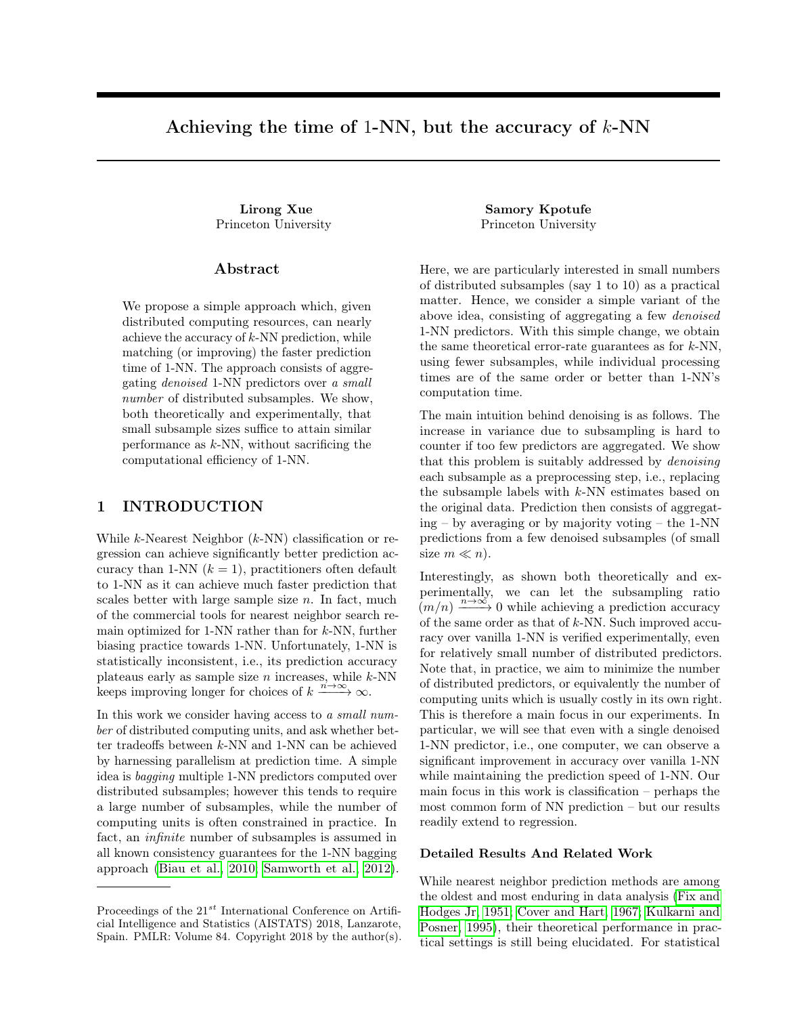# Achieving the time of 1-NN, but the accuracy of  $k$ -NN

Princeton University Princeton University

## Abstract

We propose a simple approach which, given distributed computing resources, can nearly achieve the accuracy of  $k$ -NN prediction, while matching (or improving) the faster prediction time of 1-NN. The approach consists of aggregating denoised 1-NN predictors over a small number of distributed subsamples. We show, both theoretically and experimentally, that small subsample sizes suffice to attain similar performance as  $k$ -NN, without sacrificing the computational efficiency of 1-NN.

# 1 INTRODUCTION

While  $k$ -Nearest Neighbor  $(k$ -NN) classification or regression can achieve significantly better prediction accuracy than 1-NN  $(k = 1)$ , practitioners often default to 1-NN as it can achieve much faster prediction that scales better with large sample size  $n$ . In fact, much of the commercial tools for nearest neighbor search remain optimized for  $1-NN$  rather than for  $k-NN$ , further biasing practice towards 1-NN. Unfortunately, 1-NN is statistically inconsistent, i.e., its prediction accuracy plateaus early as sample size  $n$  increases, while  $k$ -NN keeps improving longer for choices of  $k \xrightarrow{n \to \infty} \infty$ .

In this work we consider having access to a small number of distributed computing units, and ask whether better tradeoffs between k-NN and 1-NN can be achieved by harnessing parallelism at prediction time. A simple idea is bagging multiple 1-NN predictors computed over distributed subsamples; however this tends to require a large number of subsamples, while the number of computing units is often constrained in practice. In fact, an infinite number of subsamples is assumed in all known consistency guarantees for the 1-NN bagging approach [\(Biau et al., 2010;](#page-8-0) [Samworth et al., 2012\)](#page-8-1).

Lirong Xue Samory Kpotufe

Here, we are particularly interested in small numbers of distributed subsamples (say 1 to 10) as a practical matter. Hence, we consider a simple variant of the above idea, consisting of aggregating a few denoised 1-NN predictors. With this simple change, we obtain the same theoretical error-rate guarantees as for  $k$ -NN, using fewer subsamples, while individual processing times are of the same order or better than 1-NN's computation time.

The main intuition behind denoising is as follows. The increase in variance due to subsampling is hard to counter if too few predictors are aggregated. We show that this problem is suitably addressed by *denoising* each subsample as a preprocessing step, i.e., replacing the subsample labels with  $k$ -NN estimates based on the original data. Prediction then consists of aggregating – by averaging or by majority voting – the 1-NN predictions from a few denoised subsamples (of small size  $m \ll n$ ).

Interestingly, as shown both theoretically and experimentally, we can let the subsampling ratio  $(m/n) \xrightarrow{n \to \infty} 0$  while achieving a prediction accuracy of the same order as that of k-NN. Such improved accuracy over vanilla 1-NN is verified experimentally, even for relatively small number of distributed predictors. Note that, in practice, we aim to minimize the number of distributed predictors, or equivalently the number of computing units which is usually costly in its own right. This is therefore a main focus in our experiments. In particular, we will see that even with a single denoised 1-NN predictor, i.e., one computer, we can observe a significant improvement in accuracy over vanilla 1-NN while maintaining the prediction speed of 1-NN. Our main focus in this work is classification – perhaps the most common form of NN prediction – but our results readily extend to regression.

## Detailed Results And Related Work

While nearest neighbor prediction methods are among the oldest and most enduring in data analysis [\(Fix and](#page-8-2) [Hodges Jr, 1951;](#page-8-2) [Cover and Hart, 1967;](#page-8-3) [Kulkarni and](#page-8-4) [Posner, 1995\)](#page-8-4), their theoretical performance in practical settings is still being elucidated. For statistical

Proceedings of the  $21^{st}$  International Conference on Artificial Intelligence and Statistics (AISTATS) 2018, Lanzarote, Spain. PMLR: Volume 84. Copyright 2018 by the author(s).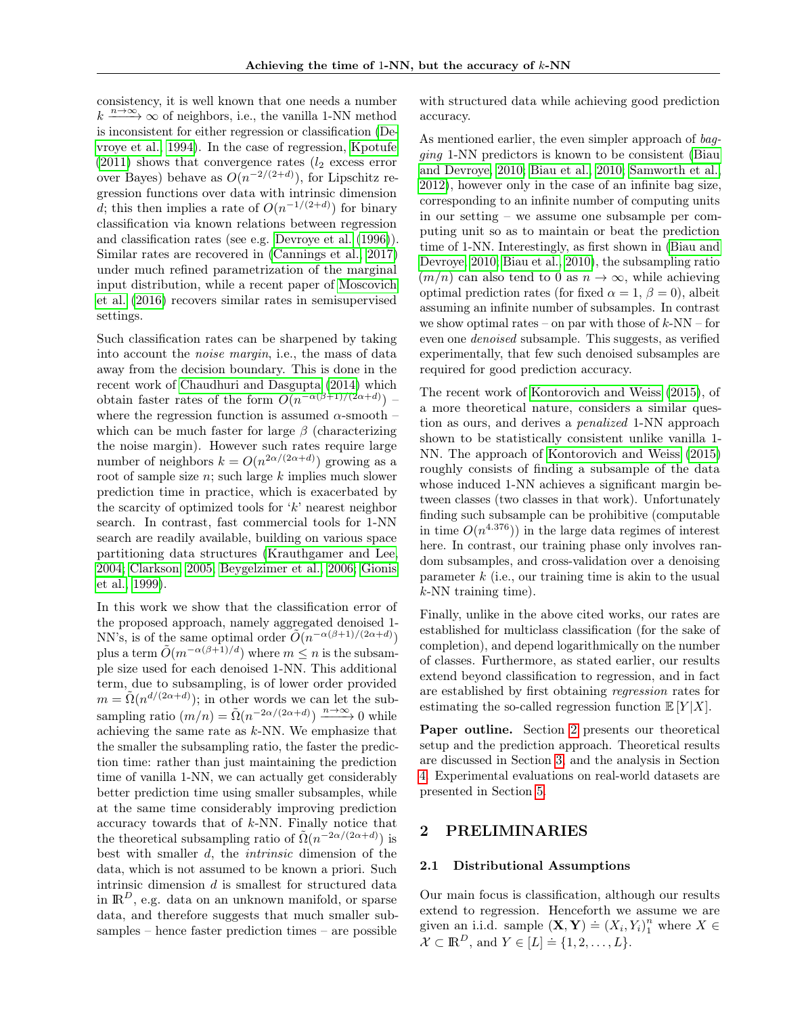consistency, it is well known that one needs a number  $k \xrightarrow{n \to \infty} \infty$  of neighbors, i.e., the vanilla 1-NN method is inconsistent for either regression or classification [\(De](#page-8-5)[vroye et al., 1994\)](#page-8-5). In the case of regression, [Kpotufe](#page-8-6)  $(2011)$  shows that convergence rates  $(l_2 \text{ excess error})$ over Bayes) behave as  $O(n^{-2/(2+d)})$ , for Lipschitz regression functions over data with intrinsic dimension d; this then implies a rate of  $O(n^{-1/(2+d)})$  for binary classification via known relations between regression and classification rates (see e.g. [Devroye et al.](#page-8-7) [\(1996\)](#page-8-7)). Similar rates are recovered in [\(Cannings et al., 2017\)](#page-8-8) under much refined parametrization of the marginal input distribution, while a recent paper of [Moscovich](#page-8-9) [et al.](#page-8-9) [\(2016\)](#page-8-9) recovers similar rates in semisupervised settings.

Such classification rates can be sharpened by taking into account the noise margin, i.e., the mass of data away from the decision boundary. This is done in the recent work of [Chaudhuri and Dasgupta](#page-8-10) [\(2014\)](#page-8-10) which obtain faster rates of the form  $O(n^{-\alpha(\beta+1)/(2\alpha+d)})$  – where the regression function is assumed  $\alpha$ -smooth – which can be much faster for large  $\beta$  (characterizing the noise margin). However such rates require large number of neighbors  $k = O(n^{2\alpha/(2\alpha+d)})$  growing as a root of sample size  $n$ ; such large  $k$  implies much slower prediction time in practice, which is exacerbated by the scarcity of optimized tools for  $k'$  nearest neighbor search. In contrast, fast commercial tools for 1-NN search are readily available, building on various space partitioning data structures [\(Krauthgamer and Lee,](#page-8-11) [2004;](#page-8-11) [Clarkson, 2005;](#page-8-12) [Beygelzimer et al., 2006;](#page-8-13) [Gionis](#page-8-14) [et al., 1999\)](#page-8-14).

In this work we show that the classification error of the proposed approach, namely aggregated denoised 1- NN's, is of the same optimal order  $\widetilde{O}(n^{-\alpha(\beta+1)/(2\alpha+d)})$ plus a term  $\tilde{O}(m^{-\alpha(\beta+1)/d})$  where  $m \leq n$  is the subsample size used for each denoised 1-NN. This additional term, due to subsampling, is of lower order provided  $m = \tilde{\Omega}(n^{d/(2\alpha+d)})$ ; in other words we can let the subsampling ratio  $(m/n) = \tilde{\Omega}(n^{-2\alpha/(2\alpha+d)}) \xrightarrow{n \to \infty} 0$  while achieving the same rate as k-NN. We emphasize that the smaller the subsampling ratio, the faster the prediction time: rather than just maintaining the prediction time of vanilla 1-NN, we can actually get considerably better prediction time using smaller subsamples, while at the same time considerably improving prediction accuracy towards that of k-NN. Finally notice that the theoretical subsampling ratio of  $\tilde{\Omega}(n^{-2\alpha/(2\alpha+d)})$  is best with smaller d, the intrinsic dimension of the data, which is not assumed to be known a priori. Such intrinsic dimension d is smallest for structured data in  $\mathbb{R}^D$ , e.g. data on an unknown manifold, or sparse data, and therefore suggests that much smaller subsamples – hence faster prediction times – are possible

with structured data while achieving good prediction accuracy.

As mentioned earlier, the even simpler approach of bagging 1-NN predictors is known to be consistent [\(Biau](#page-8-15) [and Devroye, 2010;](#page-8-15) [Biau et al., 2010;](#page-8-0) [Samworth et al.,](#page-8-1) [2012\)](#page-8-1), however only in the case of an infinite bag size, corresponding to an infinite number of computing units in our setting – we assume one subsample per computing unit so as to maintain or beat the prediction time of 1-NN. Interestingly, as first shown in [\(Biau and](#page-8-15) [Devroye, 2010;](#page-8-15) [Biau et al., 2010\)](#page-8-0), the subsampling ratio  $(m/n)$  can also tend to 0 as  $n \to \infty$ , while achieving optimal prediction rates (for fixed  $\alpha = 1, \beta = 0$ ), albeit assuming an infinite number of subsamples. In contrast we show optimal rates – on par with those of  $k-NN$  – for even one denoised subsample. This suggests, as verified experimentally, that few such denoised subsamples are required for good prediction accuracy.

The recent work of [Kontorovich and Weiss](#page-8-16) [\(2015\)](#page-8-16), of a more theoretical nature, considers a similar question as ours, and derives a penalized 1-NN approach shown to be statistically consistent unlike vanilla 1- NN. The approach of [Kontorovich and Weiss](#page-8-16) [\(2015\)](#page-8-16) roughly consists of finding a subsample of the data whose induced 1-NN achieves a significant margin between classes (two classes in that work). Unfortunately finding such subsample can be prohibitive (computable in time  $O(n^{4.376})$  in the large data regimes of interest here. In contrast, our training phase only involves random subsamples, and cross-validation over a denoising parameter  $k$  (i.e., our training time is akin to the usual k-NN training time).

Finally, unlike in the above cited works, our rates are established for multiclass classification (for the sake of completion), and depend logarithmically on the number of classes. Furthermore, as stated earlier, our results extend beyond classification to regression, and in fact are established by first obtaining regression rates for estimating the so-called regression function  $\mathbb{E}[Y|X]$ .

Paper outline. Section [2](#page-1-0) presents our theoretical setup and the prediction approach. Theoretical results are discussed in Section [3,](#page-2-0) and the analysis in Section [4.](#page-3-0) Experimental evaluations on real-world datasets are presented in Section [5.](#page-6-0)

# <span id="page-1-0"></span>2 PRELIMINARIES

#### 2.1 Distributional Assumptions

Our main focus is classification, although our results extend to regression. Henceforth we assume we are given an i.i.d. sample  $(X, Y) = (X_i, Y_i)_1^n$  where  $X \in$  $\mathcal{X} \subset \mathbb{R}^D$ , and  $Y \in [L] \doteq \{1, 2, \ldots, L\}.$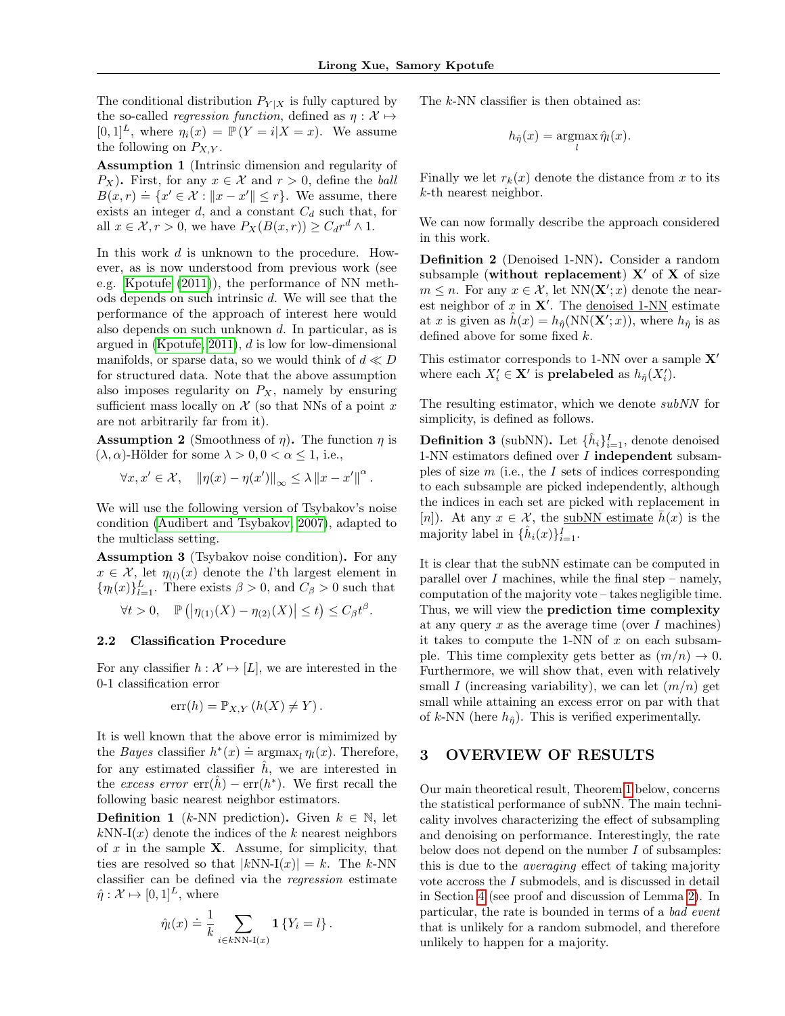The conditional distribution  $P_{Y|X}$  is fully captured by the so-called *regression function*, defined as  $\eta : \mathcal{X} \mapsto$  $[0, 1]^L$ , where  $\eta_i(x) = \mathbb{P}(Y = i | X = x)$ . We assume the following on  $P_{X,Y}$ .

Assumption 1 (Intrinsic dimension and regularity of  $P_X$ ). First, for any  $x \in \mathcal{X}$  and  $r > 0$ , define the ball  $B(x,r) = \{x' \in \mathcal{X} : ||x - x'|| \le r\}$ . We assume, there exists an integer  $d$ , and a constant  $C_d$  such that, for all  $x \in \mathcal{X}, r > 0$ , we have  $P_X(B(x,r)) \geq C_d r^d \wedge 1$ .

In this work d is unknown to the procedure. However, as is now understood from previous work (see e.g. [Kpotufe](#page-8-6) [\(2011\)](#page-8-6)), the performance of NN methods depends on such intrinsic d. We will see that the performance of the approach of interest here would also depends on such unknown d. In particular, as is argued in [\(Kpotufe, 2011\)](#page-8-6), d is low for low-dimensional manifolds, or sparse data, so we would think of  $d \ll D$ for structured data. Note that the above assumption also imposes regularity on  $P_X$ , namely by ensuring sufficient mass locally on  $\mathcal X$  (so that NNs of a point x are not arbitrarily far from it).

<span id="page-2-3"></span>**Assumption 2** (Smoothness of  $\eta$ ). The function  $\eta$  is  $(\lambda, \alpha)$ -Hölder for some  $\lambda > 0, 0 < \alpha \leq 1$ , i.e.,

$$
\forall x, x' \in \mathcal{X}, \quad \|\eta(x) - \eta(x')\|_{\infty} \leq \lambda \|x - x'\|^{\alpha}.
$$

We will use the following version of Tsybakov's noise condition [\(Audibert and Tsybakov, 2007\)](#page-8-17), adapted to the multiclass setting.

<span id="page-2-4"></span>Assumption 3 (Tsybakov noise condition). For any  $x \in \mathcal{X}$ , let  $\eta_{(l)}(x)$  denote the *l*'th largest element in  $\{\eta_l(x)\}_{l=1}^L$ . There exists  $\beta > 0$ , and  $C_\beta > 0$  such that

$$
\forall t > 0, \quad \mathbb{P}\left( \left| \eta_{(1)}(X) - \eta_{(2)}(X) \right| \leq t \right) \leq C_{\beta} t^{\beta}.
$$

#### 2.2 Classification Procedure

For any classifier  $h : \mathcal{X} \mapsto [L]$ , we are interested in the 0-1 classification error

$$
err(h) = \mathbb{P}_{X,Y} (h(X) \neq Y).
$$

It is well known that the above error is mimimized by the *Bayes* classifier  $h^*(x) \doteq \arg\max_l \eta_l(x)$ . Therefore, for any estimated classifier  $\hat{h}$ , we are interested in the excess error  $err(\hat{h}) - err(h^*)$ . We first recall the following basic nearest neighbor estimators.

<span id="page-2-2"></span>**Definition 1** (k-NN prediction). Given  $k \in \mathbb{N}$ , let  $kNN-I(x)$  denote the indices of the k nearest neighbors of  $x$  in the sample  $X$ . Assume, for simplicity, that ties are resolved so that  $|kNN-I(x)| = k$ . The k-NN classifier can be defined via the regression estimate  $\hat{\eta}: \mathcal{X} \mapsto [0, 1]^L$ , where

$$
\hat{\eta}_l(x) \doteq \frac{1}{k} \sum_{i \in k\text{NN-I}(x)} \mathbf{1} \{ Y_i = l \}.
$$

The k-NN classifier is then obtained as:

$$
h_{\hat{\eta}}(x) = \operatorname*{argmax}_{l} \hat{\eta}_l(x).
$$

Finally we let  $r_k(x)$  denote the distance from x to its k-th nearest neighbor.

We can now formally describe the approach considered in this work.

Definition 2 (Denoised 1-NN). Consider a random subsample (without replacement)  $X'$  of X of size  $m \leq n$ . For any  $x \in \mathcal{X}$ , let  $NN(\mathbf{X}'; x)$  denote the nearest neighbor of  $x$  in  $X'$ . The denoised 1-NN estimate at x is given as  $\hat{h}(x) = h_{\hat{\eta}}(NN(\mathbf{X}'; x))$ , where  $h_{\hat{\eta}}$  is as defined above for some fixed k.

This estimator corresponds to 1-NN over a sample  $X'$ where each  $X'_i \in \mathbf{X}'$  is **prelabeled** as  $h_{\hat{\eta}}(X'_i)$ .

The resulting estimator, which we denote subNN for simplicity, is defined as follows.

**Definition 3** (subNN). Let  $\{\hat{h}_i\}_{i=1}^I$ , denote denoised 1-NN estimators defined over I independent subsamples of size  $m$  (i.e., the  $I$  sets of indices corresponding to each subsample are picked independently, although the indices in each set are picked with replacement in [n]). At any  $x \in \mathcal{X}$ , the subNN estimate  $\bar{h}(x)$  is the majority label in  $\{\hat{h}_i(x)\}_{i=1}^I$ .

It is clear that the subNN estimate can be computed in parallel over  $I$  machines, while the final step – namely, computation of the majority vote – takes negligible time. Thus, we will view the prediction time complexity at any query x as the average time (over  $I$  machines) it takes to compute the 1-NN of  $x$  on each subsample. This time complexity gets better as  $(m/n) \to 0$ . Furthermore, we will show that, even with relatively small I (increasing variability), we can let  $(m/n)$  get small while attaining an excess error on par with that of k-NN (here  $h_{\hat{\eta}}$ ). This is verified experimentally.

# <span id="page-2-0"></span>3 OVERVIEW OF RESULTS

<span id="page-2-1"></span>Our main theoretical result, Theorem [1](#page-2-1) below, concerns the statistical performance of subNN. The main technicality involves characterizing the effect of subsampling and denoising on performance. Interestingly, the rate below does not depend on the number I of subsamples: this is due to the averaging effect of taking majority vote accross the I submodels, and is discussed in detail in Section [4](#page-3-0) (see proof and discussion of Lemma [2\)](#page-4-0). In particular, the rate is bounded in terms of a bad event that is unlikely for a random submodel, and therefore unlikely to happen for a majority.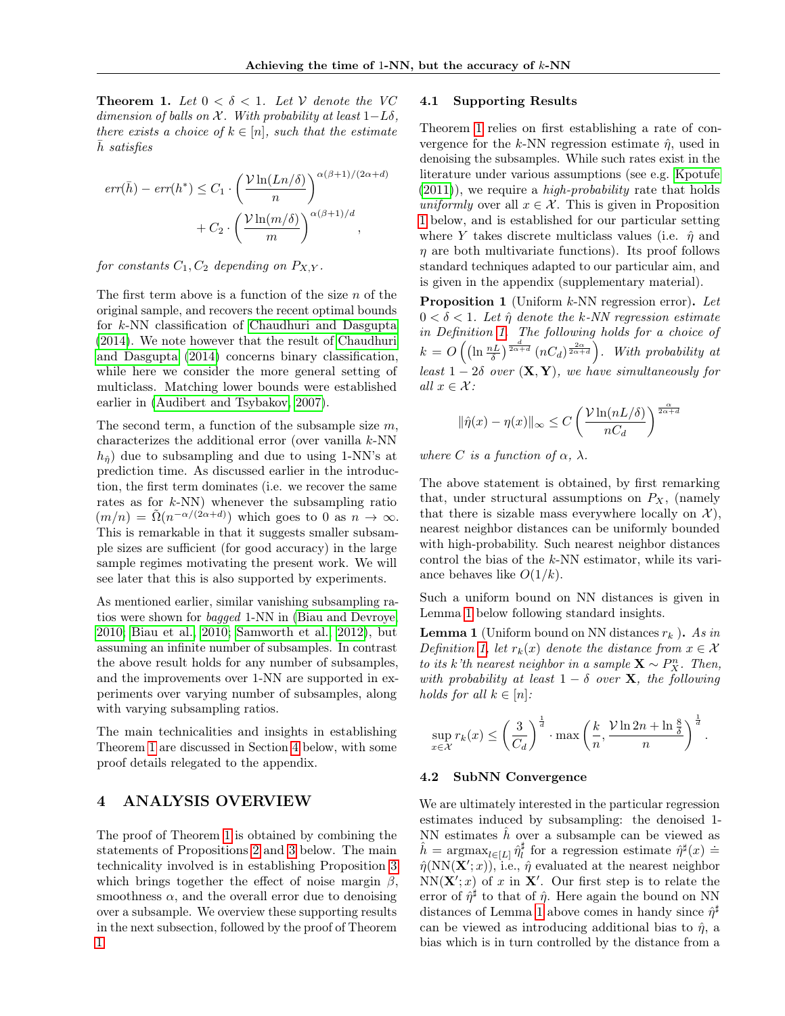**Theorem 1.** Let  $0 < \delta < 1$ . Let V denote the VC dimension of balls on  $\mathcal X$ . With probability at least  $1-L\delta$ , there exists a choice of  $k \in [n]$ , such that the estimate  $h$  satisfies

$$
err(\bar{h}) - err(h^*) \leq C_1 \cdot \left(\frac{\mathcal{V}\ln(Ln/\delta)}{n}\right)^{\alpha(\beta+1)/(2\alpha+d)}
$$

$$
+ C_2 \cdot \left(\frac{\mathcal{V}\ln(m/\delta)}{m}\right)^{\alpha(\beta+1)/d},
$$

#### for constants  $C_1, C_2$  depending on  $P_{X,Y}$ .

The first term above is a function of the size  $n$  of the original sample, and recovers the recent optimal bounds for k-NN classification of [Chaudhuri and Dasgupta](#page-8-10) [\(2014\)](#page-8-10). We note however that the result of [Chaudhuri](#page-8-10) [and Dasgupta](#page-8-10) [\(2014\)](#page-8-10) concerns binary classification, while here we consider the more general setting of multiclass. Matching lower bounds were established earlier in [\(Audibert and Tsybakov, 2007\)](#page-8-17).

The second term, a function of the subsample size  $m$ , characterizes the additional error (over vanilla k-NN  $h_{\hat{n}}$  due to subsampling and due to using 1-NN's at prediction time. As discussed earlier in the introduction, the first term dominates (i.e. we recover the same rates as for  $k$ -NN) whenever the subsampling ratio  $(m/n) = \tilde{\Omega}(n^{-\alpha/(2\alpha+d)})$  which goes to 0 as  $n \to \infty$ . This is remarkable in that it suggests smaller subsample sizes are sufficient (for good accuracy) in the large sample regimes motivating the present work. We will see later that this is also supported by experiments.

As mentioned earlier, similar vanishing subsampling ratios were shown for bagged 1-NN in [\(Biau and Devroye,](#page-8-15) [2010;](#page-8-15) [Biau et al., 2010;](#page-8-0) [Samworth et al., 2012\)](#page-8-1), but assuming an infinite number of subsamples. In contrast the above result holds for any number of subsamples, and the improvements over 1-NN are supported in experiments over varying number of subsamples, along with varying subsampling ratios.

The main technicalities and insights in establishing Theorem [1](#page-2-1) are discussed in Section [4](#page-3-0) below, with some proof details relegated to the appendix.

# <span id="page-3-0"></span>4 ANALYSIS OVERVIEW

The proof of Theorem [1](#page-2-1) is obtained by combining the statements of Propositions [2](#page-4-1) and [3](#page-5-0) below. The main technicality involved is in establishing Proposition [3](#page-5-0) which brings together the effect of noise margin  $\beta$ , smoothness  $\alpha$ , and the overall error due to denoising over a subsample. We overview these supporting results in the next subsection, followed by the proof of Theorem [1.](#page-2-1)

#### 4.1 Supporting Results

Theorem [1](#page-2-1) relies on first establishing a rate of convergence for the k-NN regression estimate  $\hat{\eta}$ , used in denoising the subsamples. While such rates exist in the literature under various assumptions (see e.g. [Kpotufe](#page-8-6)  $(2011)$ , we require a *high-probability* rate that holds uniformly over all  $x \in \mathcal{X}$ . This is given in Proposition [1](#page-3-1) below, and is established for our particular setting where Y takes discrete multiclass values (i.e.  $\hat{\eta}$  and  $\eta$  are both multivariate functions). Its proof follows standard techniques adapted to our particular aim, and is given in the appendix (supplementary material).

<span id="page-3-1"></span>**Proposition 1** (Uniform  $k$ -NN regression error). Let  $0 < \delta < 1$ . Let  $\hat{\eta}$  denote the k-NN regression estimate in Definition [1.](#page-2-2) The following holds for a choice of  $k = O\left(\left(\ln \frac{nL}{\delta}\right)^{\frac{d}{2\alpha+d}} (nC_d)^{\frac{2\alpha}{2\alpha+d}}\right)$ . With probability at least  $1-2\delta$  over  $(\mathbf{X}, \mathbf{Y})$ , we have simultaneously for all  $x \in \mathcal{X}$ :

$$
\|\hat{\eta}(x) - \eta(x)\|_{\infty} \le C \left(\frac{\mathcal{V}\ln(nL/\delta)}{nC_d}\right)^{\frac{\alpha}{2\alpha+d}}
$$

where C is a function of  $\alpha$ ,  $\lambda$ .

The above statement is obtained, by first remarking that, under structural assumptions on  $P_X$ , (namely that there is sizable mass everywhere locally on  $\mathcal{X}$ ), nearest neighbor distances can be uniformly bounded with high-probability. Such nearest neighbor distances control the bias of the k-NN estimator, while its variance behaves like  $O(1/k)$ .

Such a uniform bound on NN distances is given in Lemma [1](#page-3-2) below following standard insights.

<span id="page-3-2"></span>**Lemma 1** (Uniform bound on NN distances  $r_k$ ). As in Definition [1,](#page-2-2) let  $r_k(x)$  denote the distance from  $x \in \mathcal{X}$ to its k'th nearest neighbor in a sample  $\mathbf{X} \sim P_X^n$ . Then, with probability at least  $1 - \delta$  over X, the following holds for all  $k \in [n]$ :

$$
\sup_{x \in \mathcal{X}} r_k(x) \le \left(\frac{3}{C_d}\right)^{\frac{1}{d}} \cdot \max\left(\frac{k}{n}, \frac{\mathcal{V}\ln 2n + \ln \frac{8}{\delta}}{n}\right)^{\frac{1}{d}}.
$$

#### 4.2 SubNN Convergence

x∈X

We are ultimately interested in the particular regression estimates induced by subsampling: the denoised 1- NN estimates  $\hat{h}$  over a subsample can be viewed as  $\hat{h} = \operatorname{argmax}_{l \in [L]} \hat{\eta}_l^{\dagger}$  for a regression estimate  $\hat{\eta}^{\dagger}(x) =$  $\hat{\eta}(NN(\mathbf{X}';x))$ , i.e.,  $\hat{\eta}$  evaluated at the nearest neighbor  $NN(X'; x)$  of x in X'. Our first step is to relate the error of  $\hat{\eta}^{\sharp}$  to that of  $\hat{\eta}$ . Here again the bound on NN distances of Lemma [1](#page-3-2) above comes in handy since  $\hat{\eta}^{\sharp}$ can be viewed as introducing additional bias to  $\hat{\eta}$ , a bias which is in turn controlled by the distance from a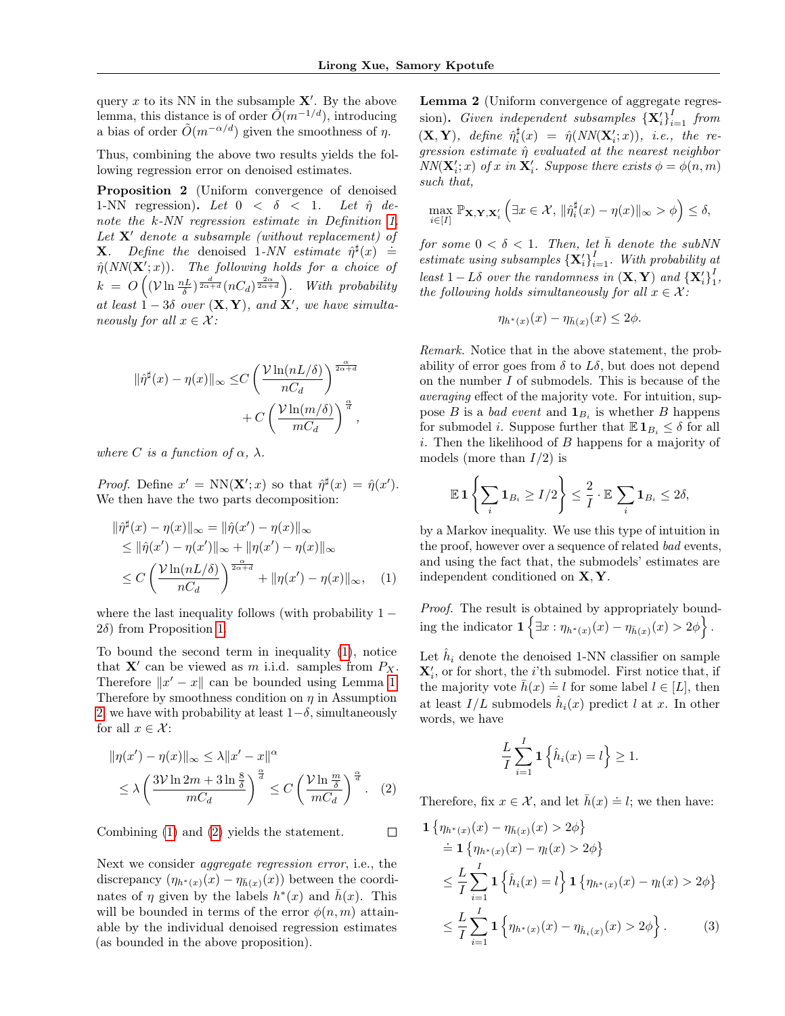query x to its NN in the subsample  $X'$ . By the above lemma, this distance is of order  $\tilde{O}(m^{-1/d})$ , introducing a bias of order  $\tilde{O}(m^{-\alpha/d})$  given the smoothness of  $\eta$ .

Thus, combining the above two results yields the following regression error on denoised estimates.

<span id="page-4-1"></span>Proposition 2 (Uniform convergence of denoised 1-NN regression). Let  $0 < \delta < 1$ . Let  $\hat{\eta}$  denote the k-NN regression estimate in Definition [1.](#page-2-2) Let  $X'$  denote a subsample (without replacement) of **X.** Define the denoised 1-NN estimate  $\hat{\eta}^{\sharp}(x) \doteq$  $\hat{\eta}(NN(\mathbf{X}';x)).$  The following holds for a choice of  $k = O\left((\mathcal{V} \ln \frac{nL}{\delta})^{\frac{d}{2\alpha+d}} (nC_d)^{\frac{2\alpha}{2\alpha+d}}\right)$ . With probability at least  $1-3\delta$  over  $(X, Y)$ , and  $X'$ , we have simultaneously for all  $x \in \mathcal{X}$ :

$$
\begin{aligned} \|\hat{\eta}^\sharp(x)-\eta(x)\|_\infty \leq & C \left(\frac{\mathcal{V}\ln(nL/\delta)}{nC_d}\right)^{\frac{\alpha}{2\alpha+d}} \\ & + C \left(\frac{\mathcal{V}\ln(m/\delta)}{mC_d}\right)^{\frac{\alpha}{d}}, \end{aligned}
$$

where C is a function of  $\alpha$ ,  $\lambda$ .

*Proof.* Define  $x' = NN(X';x)$  so that  $\hat{\eta}^{\sharp}(x) = \hat{\eta}(x')$ . We then have the two parts decomposition:

$$
\begin{aligned} &\|\hat{\eta}^{\sharp}(x) - \eta(x)\|_{\infty} = \|\hat{\eta}(x') - \eta(x)\|_{\infty} \\ &\leq \|\hat{\eta}(x') - \eta(x')\|_{\infty} + \|\eta(x') - \eta(x)\|_{\infty} \\ &\leq C\left(\frac{\mathcal{V}\ln(nL/\delta)}{nC_d}\right)^{\frac{\alpha}{2\alpha+d}} + \|\eta(x') - \eta(x)\|_{\infty}, \quad (1) \end{aligned}
$$

where the last inequality follows (with probability  $1 2\delta$ ) from Proposition [1.](#page-3-1)

To bound the second term in inequality [\(1\)](#page-4-2), notice that  $X'$  can be viewed as m i.i.d. samples from  $P_X$ . Therefore  $||x'-x||$  can be bounded using Lemma [1.](#page-3-2) Therefore by smoothness condition on  $\eta$  in Assumption [2,](#page-2-3) we have with probability at least  $1-\delta$ , simultaneously for all  $x \in \mathcal{X}$ :

$$
\|\eta(x') - \eta(x)\|_{\infty} \le \lambda \|x' - x\|^{\alpha}
$$
  
 
$$
\le \lambda \left(\frac{3\nu \ln 2m + 3 \ln \frac{8}{\delta}}{mC_d}\right)^{\frac{\alpha}{d}} \le C \left(\frac{\nu \ln \frac{m}{\delta}}{mC_d}\right)^{\frac{\alpha}{d}}.
$$
 (2)

 $\Box$ 

Combining [\(1\)](#page-4-2) and [\(2\)](#page-4-3) yields the statement.

<span id="page-4-0"></span>Next we consider aggregate regression error, i.e., the discrepancy  $(\eta_{h^*(x)}(x) - \eta_{\bar{h}(x)}(x))$  between the coordinates of  $\eta$  given by the labels  $h^*(x)$  and  $\bar{h}(x)$ . This will be bounded in terms of the error  $\phi(n,m)$  attainable by the individual denoised regression estimates (as bounded in the above proposition).

Lemma 2 (Uniform convergence of aggregate regression). Given independent subsamples  ${\{\mathbf X_i'\}}_{i=1}^I$  from  $(X, Y)$ , define  $\hat{\eta}_i^{\sharp}(x) = \hat{\eta}(NN(X_i'; x))$ , i.e., the regression estimate  $\hat{\eta}$  evaluated at the nearest neighbor  $NN(\mathbf{X}'_i; x)$  of x in  $\mathbf{X}'_i$ . Suppose there exists  $\phi = \phi(n, m)$ such that,

$$
\max_{i\in[I]}\mathbb{P}_{\mathbf{X},\mathbf{Y},\mathbf{X}_i'}\left(\exists x\in\mathcal{X},\, \|\hat{\eta}_i^{\sharp}(x)-\eta(x)\|_{\infty}>\phi\right)\leq\delta,
$$

for some  $0 < \delta < 1$ . Then, let  $\overline{h}$  denote the subNN estimate using subsamples  ${\{\mathbf{X}_i^\prime\}}_{i=1}^I$ . With probability at least  $1 - L\delta$  over the randomness in  $(\mathbf{X}, \mathbf{Y})$  and  $\{\mathbf{X}'_i\}^I_1$  $\frac{1}{1}$ , the following holds simultaneously for all  $x \in \mathcal{X}$ :

$$
\eta_{h^*(x)}(x) - \eta_{\bar{h}(x)}(x) \le 2\phi.
$$

Remark. Notice that in the above statement, the probability of error goes from  $\delta$  to  $L\delta$ , but does not depend on the number I of submodels. This is because of the averaging effect of the majority vote. For intuition, suppose B is a bad event and  $\mathbf{1}_{B_i}$  is whether B happens for submodel *i*. Suppose further that  $\mathbb{E} \mathbf{1}_{B_i} \leq \delta$  for all  $i.$  Then the likelihood of  $B$  happens for a majority of models (more than  $I/2$ ) is

$$
\mathbb{E} \mathbf{1} \left\{ \sum_i \mathbf{1}_{B_i} \ge I/2 \right\} \le \frac{2}{I} \cdot \mathbb{E} \sum_i \mathbf{1}_{B_i} \le 2\delta,
$$

<span id="page-4-2"></span>by a Markov inequality. We use this type of intuition in the proof, however over a sequence of related bad events, and using the fact that, the submodels' estimates are independent conditioned on X, Y.

*Proof.* The result is obtained by appropriately bounding the indicator  $\mathbf{1}\left\{\exists x : \eta_{h^*(x)}(x) - \eta_{\bar{h}(x)}(x) > 2\phi\right\}.$ 

Let  $\hat{h}_i$  denote the denoised 1-NN classifier on sample  $\mathbf{X}'_i$ , or for short, the *i*'th submodel. First notice that, if  $\bar{h}(x) = l$  for some label  $l \in [L]$ , then<br>the majority vote  $\bar{h}(x) = l$  for some label  $l \in [L]$ , then at least  $I/L$  submodels  $\hat{h}_i(x)$  predict l at x. In other words, we have

<span id="page-4-4"></span>
$$
\frac{L}{I} \sum_{i=1}^{I} \mathbf{1} \left\{ \hat{h}_i(x) = l \right\} \ge 1.
$$

<span id="page-4-3"></span>Therefore, fix  $x \in \mathcal{X}$ , and let  $\bar{h}(x) \doteq l$ ; we then have:

$$
\begin{split} \mathbf{1} \left\{ \eta_{h^*(x)}(x) - \eta_{\bar{h}(x)}(x) > 2\phi \right\} \\ &\doteq \mathbf{1} \left\{ \eta_{h^*(x)}(x) - \eta_l(x) > 2\phi \right\} \\ &\leq \frac{L}{I} \sum_{i=1}^I \mathbf{1} \left\{ \hat{h}_i(x) = l \right\} \mathbf{1} \left\{ \eta_{h^*(x)}(x) - \eta_l(x) > 2\phi \right\} \\ &\leq \frac{L}{I} \sum_{i=1}^I \mathbf{1} \left\{ \eta_{h^*(x)}(x) - \eta_{\hat{h}_i(x)}(x) > 2\phi \right\}. \end{split} \tag{3}
$$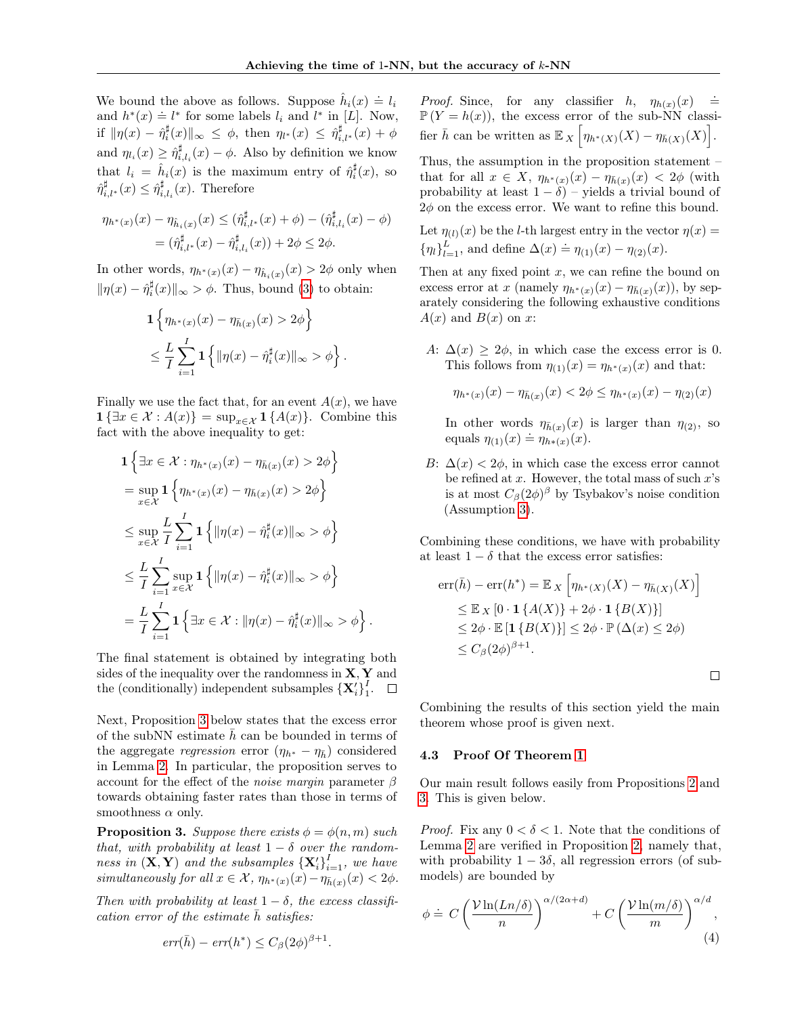We bound the above as follows. Suppose  $\hat{h}_i(x) \doteq l_i$ we bound the above as follows: Suppose  $h_i(x) = v_i$ <br>and  $h^*(x) = l^*$  for some labels  $l_i$  and  $l^*$  in [L]. Now, if  $\|\eta(x) - \hat{\eta}_i^{\sharp}(x)\|_{\infty} \leq \phi$ , then  $\eta_{l^*}(x) \leq \hat{\eta}_{i,l^*}^{\sharp}(x) + \phi$ and  $\eta_{l_i}(x) \geq \hat{\eta}_{i,l_i}^{\sharp}(x) - \phi$ . Also by definition we know that  $l_i = \hat{h}_i(x)$  is the maximum entry of  $\hat{\eta}_i^{\sharp}(x)$ , so  $\hat{\eta}_{i,l^*}^{\sharp}(x) \leq \hat{\eta}_{i,l_i}^{\sharp}(x)$ . Therefore

$$
\eta_{h^*(x)}(x) - \eta_{\hat{h}_i(x)}(x) \leq (\hat{\eta}_{i,l^*}^{\sharp}(x) + \phi) - (\hat{\eta}_{i,l_i}^{\sharp}(x) - \phi)
$$
  
= (\hat{\eta}\_{i,l^\*}^{\sharp}(x) - \hat{\eta}\_{i,l\_i}^{\sharp}(x)) + 2\phi \leq 2\phi.

In other words,  $\eta_{h^*(x)}(x) - \eta_{\hat{h}_i(x)}(x) > 2\phi$  only when  $\|\eta(x) - \hat{\eta}_i^{\sharp}(x)\|_{\infty} > \phi$ . Thus, bound [\(3\)](#page-4-4) to obtain:

$$
\mathbf{1}\left\{\eta_{h^*(x)}(x) - \eta_{\bar{h}(x)}(x) > 2\phi\right\}
$$
  

$$
\leq \frac{L}{I} \sum_{i=1}^I \mathbf{1}\left\{\|\eta(x) - \hat{\eta}_i^{\sharp}(x)\|_{\infty} > \phi\right\}
$$

.

.

Finally we use the fact that, for an event  $A(x)$ , we have  $\mathbf{1} \{ \exists x \in \mathcal{X} : A(x) \} = \sup_{x \in \mathcal{X}} \mathbf{1} \{ A(x) \}.$  Combine this fact with the above inequality to get:

$$
\begin{aligned}\n\mathbf{1} \left\{ \exists x \in \mathcal{X} : \eta_{h^*(x)}(x) - \eta_{\bar{h}(x)}(x) > 2\phi \right\} \\
&= \sup_{x \in \mathcal{X}} \mathbf{1} \left\{ \eta_{h^*(x)}(x) - \eta_{\bar{h}(x)}(x) > 2\phi \right\} \\
&\le \sup_{x \in \mathcal{X}} \frac{L}{I} \sum_{i=1}^I \mathbf{1} \left\{ \|\eta(x) - \hat{\eta}_i^{\sharp}(x)\|_{\infty} > \phi \right\} \\
&\le \frac{L}{I} \sum_{i=1}^I \sup_{x \in \mathcal{X}} \mathbf{1} \left\{ \|\eta(x) - \hat{\eta}_i^{\sharp}(x)\|_{\infty} > \phi \right\} \\
&= \frac{L}{I} \sum_{i=1}^I \mathbf{1} \left\{ \exists x \in \mathcal{X} : \|\eta(x) - \hat{\eta}_i^{\sharp}(x)\|_{\infty} > \phi \right\}\n\end{aligned}
$$

The final statement is obtained by integrating both sides of the inequality over the randomness in  $X, Y$  and the (conditionally) independent subsamples  $\{\mathbf{X}'_i\}^I_1$  $\frac{1}{1}$ .

Next, Proposition [3](#page-5-0) below states that the excess error of the subNN estimate  $\bar{h}$  can be bounded in terms of the aggregate regression error  $(\eta_{h^*} - \eta_{\bar{h}})$  considered in Lemma [2.](#page-4-0) In particular, the proposition serves to account for the effect of the *noise margin* parameter  $\beta$ towards obtaining faster rates than those in terms of smoothness  $\alpha$  only.

<span id="page-5-0"></span>**Proposition 3.** Suppose there exists  $\phi = \phi(n, m)$  such that, with probability at least  $1 - \delta$  over the randomness in  $(X, Y)$  and the subsamples  ${X'_i}_{i=1}^I$ , we have simultaneously for all  $x \in \mathcal{X}$ ,  $\eta_{h^*(x)}(x) - \eta_{\bar{h}(x)}(x) < 2\phi$ .

Then with probability at least  $1 - \delta$ , the excess classification error of the estimate  $\bar{h}$  satisfies:

$$
err(\bar{h}) - err(h^*) \le C_\beta (2\phi)^{\beta+1}.
$$

*Proof.* Since, for any classifier  $h$ ,  $\eta_{h(x)}(x) \doteq$  $\mathbb{P}(Y = h(x))$ , the excess error of the sub-NN classifier  $\bar{h}$  can be written as  $\mathbb{E}_X \left[ \eta_{h^*(X)}(X) - \eta_{\bar{h}(X)}(X) \right]$ .

Thus, the assumption in the proposition statement – that for all  $x \in X$ ,  $\eta_{h^*(x)}(x) - \eta_{\bar{h}(x)}(x) < 2\phi$  (with probability at least  $1 - \delta$ ) – yields a trivial bound of  $2\phi$  on the excess error. We want to refine this bound.

Let  $\eta_{(l)}(x)$  be the *l*-th largest entry in the vector  $\eta(x) =$  $\{\eta_l\}_{l=1}^{L}$ , and define  $\Delta(x) \doteq \eta_{(1)}(x) - \eta_{(2)}(x)$ .

Then at any fixed point  $x$ , we can refine the bound on excess error at x (namely  $\eta_{h^*(x)}(x) - \eta_{\bar{h}(x)}(x)$ ), by separately considering the following exhaustive conditions  $A(x)$  and  $B(x)$  on x:

A:  $\Delta(x) \geq 2\phi$ , in which case the excess error is 0. This follows from  $\eta_{(1)}(x) = \eta_{h^*(x)}(x)$  and that:

$$
\eta_{h^*(x)}(x) - \eta_{\bar{h}(x)}(x) < 2\phi \le \eta_{h^*(x)}(x) - \eta_{(2)}(x)
$$

In other words  $\eta_{\bar{h}(x)}(x)$  is larger than  $\eta_{(2)}$ , so equals  $\eta_{(1)}(x) \doteq \eta_{h*(x)}(x)$ .

B:  $\Delta(x)$  < 2 $\phi$ , in which case the excess error cannot be refined at  $x$ . However, the total mass of such  $x$ 's is at most  $C_{\beta}(2\phi)^{\beta}$  by Tsybakov's noise condition (Assumption [3\)](#page-2-4).

Combining these conditions, we have with probability at least  $1 - \delta$  that the excess error satisfies:

$$
err(\bar{h}) - err(h^*) = \mathbb{E}_X \left[ \eta_{h^*(X)}(X) - \eta_{\bar{h}(X)}(X) \right]
$$
  
\n
$$
\leq \mathbb{E}_X \left[ 0 \cdot \mathbf{1} \{ A(X) \} + 2\phi \cdot \mathbf{1} \{ B(X) \} \right]
$$
  
\n
$$
\leq 2\phi \cdot \mathbb{E} \left[ \mathbf{1} \{ B(X) \} \right] \leq 2\phi \cdot \mathbb{P} (\Delta(x) \leq 2\phi)
$$
  
\n
$$
\leq C_\beta (2\phi)^{\beta+1}.
$$

Combining the results of this section yield the main theorem whose proof is given next.

<span id="page-5-1"></span> $\Box$ 

#### 4.3 Proof Of Theorem [1](#page-2-1)

Our main result follows easily from Propositions [2](#page-4-1) and [3.](#page-5-0) This is given below.

*Proof.* Fix any  $0 < \delta < 1$ . Note that the conditions of Lemma [2](#page-4-0) are verified in Proposition [2,](#page-4-1) namely that, with probability  $1 - 3\delta$ , all regression errors (of submodels) are bounded by

$$
\phi \doteq C \left( \frac{\mathcal{V} \ln(Ln/\delta)}{n} \right)^{\alpha/(2\alpha+d)} + C \left( \frac{\mathcal{V} \ln(m/\delta)}{m} \right)^{\alpha/d}, \tag{4}
$$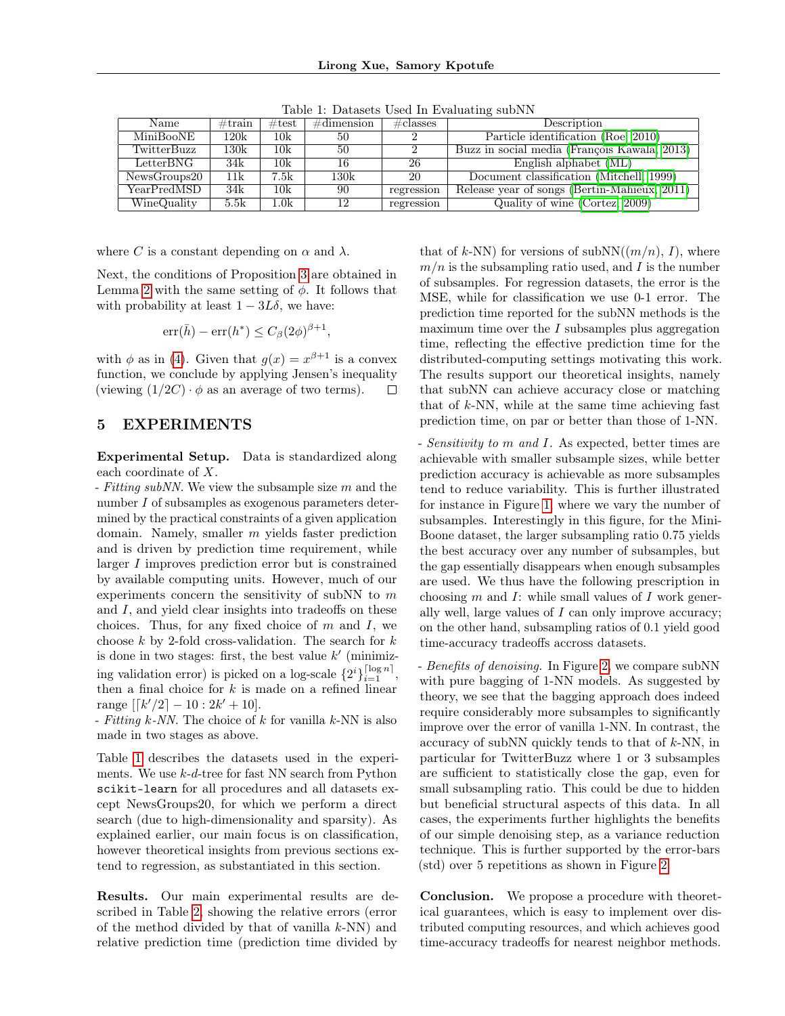| Name         | $\#\text{train}$ | $\#\text{test}$ | $\#$ dimension | $\# \text{classes}$ | Description                                     |  |  |
|--------------|------------------|-----------------|----------------|---------------------|-------------------------------------------------|--|--|
| MiniBooNE    | 120k             | 10k             | 50             |                     | Particle identification (Roe, 2010)             |  |  |
| TwitterBuzz  | 130k             | 10k             | 50             |                     | Buzz in social media (François Kawala, 2013)    |  |  |
| LetterBNG    | 34k              | 10k             | 16             | 26                  | English alphabet $(ML)$                         |  |  |
| NewsGroups20 | 11k              | 7.5k            | 130k           | 20                  | Document classification (Mitchell, 1999)        |  |  |
| YearPredMSD  | 34k              | 10k             | 90             | regression          | Release year of songs (Bertin-Mahieux, $2011$ ) |  |  |
| WineQuality  | 5.5k             | $1.0 {\rm k}$   | 12             | regression          | Quality of wine (Cortez, 2009)                  |  |  |

<span id="page-6-1"></span>Table 1: Datasets Used In Evaluating subNN

where C is a constant depending on  $\alpha$  and  $\lambda$ .

Next, the conditions of Proposition [3](#page-5-0) are obtained in Lemma [2](#page-4-0) with the same setting of  $\phi$ . It follows that with probability at least  $1 - 3L\delta$ , we have:

$$
\operatorname{err}(\bar{h}) - \operatorname{err}(h^*) \le C_\beta (2\phi)^{\beta+1},
$$

with  $\phi$  as in [\(4\)](#page-5-1). Given that  $g(x) = x^{\beta+1}$  is a convex function, we conclude by applying Jensen's inequality (viewing  $(1/2C) \cdot \phi$  as an average of two terms).  $\Box$ 

# <span id="page-6-0"></span>5 EXPERIMENTS

Experimental Setup. Data is standardized along each coordinate of X.

- Fitting subNN. We view the subsample size  $m$  and the number I of subsamples as exogenous parameters determined by the practical constraints of a given application domain. Namely, smaller m yields faster prediction and is driven by prediction time requirement, while larger I improves prediction error but is constrained by available computing units. However, much of our experiments concern the sensitivity of subNN to  $m$ and I, and yield clear insights into tradeoffs on these choices. Thus, for any fixed choice of  $m$  and  $I$ , we choose  $k$  by 2-fold cross-validation. The search for  $k$ is done in two stages: first, the best value  $k'$  (minimizing validation error) is picked on a log-scale  $\{2^i\}_{i=1}^{\lceil \log n \rceil}$ , then a final choice for  $k$  is made on a refined linear range  $[[k'/2] - 10 : 2k' + 10].$ 

- Fitting  $k$ -NN. The choice of  $k$  for vanilla  $k$ -NN is also made in two stages as above.

Table [1](#page-6-1) describes the datasets used in the experiments. We use  $k$ - $d$ -tree for fast NN search from Python scikit-learn for all procedures and all datasets except NewsGroups20, for which we perform a direct search (due to high-dimensionality and sparsity). As explained earlier, our main focus is on classification, however theoretical insights from previous sections extend to regression, as substantiated in this section.

Results. Our main experimental results are described in Table [2,](#page-7-0) showing the relative errors (error of the method divided by that of vanilla  $k$ -NN) and relative prediction time (prediction time divided by that of k-NN) for versions of  $subNN((m/n), I)$ , where  $m/n$  is the subsampling ratio used, and I is the number of subsamples. For regression datasets, the error is the MSE, while for classification we use 0-1 error. The prediction time reported for the subNN methods is the maximum time over the  $I$  subsamples plus aggregation time, reflecting the effective prediction time for the distributed-computing settings motivating this work. The results support our theoretical insights, namely that subNN can achieve accuracy close or matching that of  $k$ -NN, while at the same time achieving fast prediction time, on par or better than those of 1-NN.

- Sensitivity to m and I. As expected, better times are achievable with smaller subsample sizes, while better prediction accuracy is achievable as more subsamples tend to reduce variability. This is further illustrated for instance in Figure [1,](#page-7-1) where we vary the number of subsamples. Interestingly in this figure, for the Mini-Boone dataset, the larger subsampling ratio 0.75 yields the best accuracy over any number of subsamples, but the gap essentially disappears when enough subsamples are used. We thus have the following prescription in choosing  $m$  and  $I$ : while small values of  $I$  work generally well, large values of I can only improve accuracy; on the other hand, subsampling ratios of 0.1 yield good time-accuracy tradeoffs accross datasets.

- Benefits of denoising. In Figure [2,](#page-7-2) we compare subNN with pure bagging of 1-NN models. As suggested by theory, we see that the bagging approach does indeed require considerably more subsamples to significantly improve over the error of vanilla 1-NN. In contrast, the accuracy of subNN quickly tends to that of  $k$ -NN, in particular for TwitterBuzz where 1 or 3 subsamples are sufficient to statistically close the gap, even for small subsampling ratio. This could be due to hidden but beneficial structural aspects of this data. In all cases, the experiments further highlights the benefits of our simple denoising step, as a variance reduction technique. This is further supported by the error-bars (std) over 5 repetitions as shown in Figure [2.](#page-7-2)

Conclusion. We propose a procedure with theoretical guarantees, which is easy to implement over distributed computing resources, and which achieves good time-accuracy tradeoffs for nearest neighbor methods.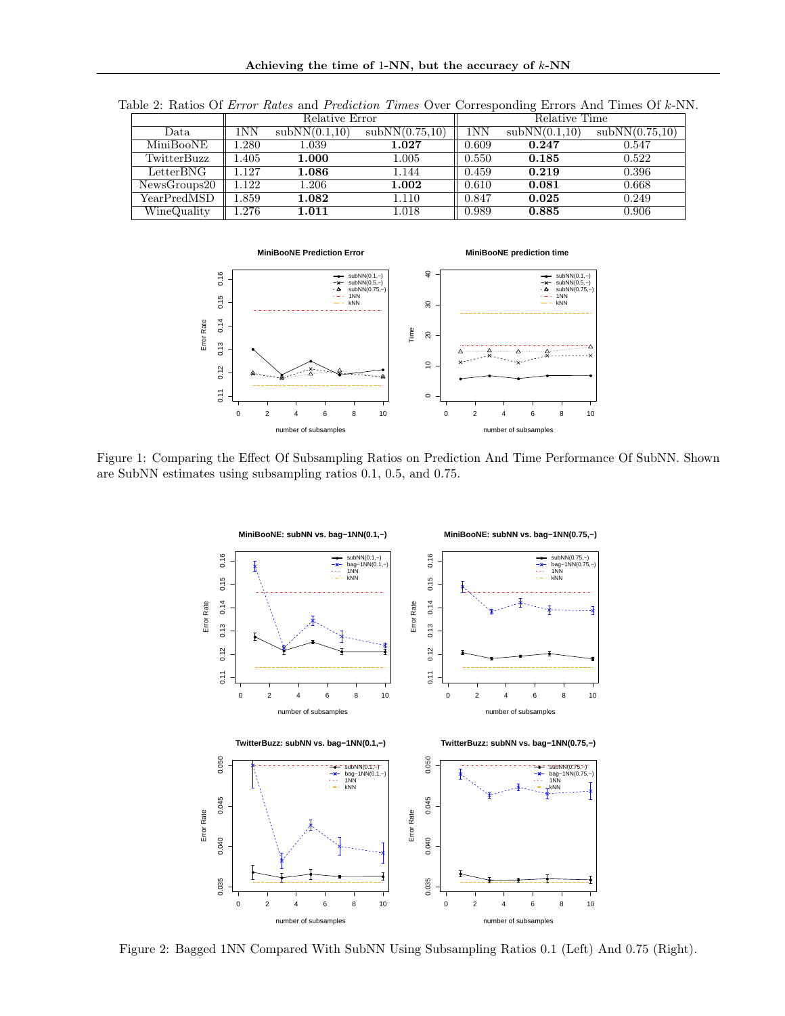Achieving the time of 1-NN, but the accuracy of  $k$ -NN

<span id="page-7-0"></span>

|                    |             | Relative Error |                | Relative Time |               |                |
|--------------------|-------------|----------------|----------------|---------------|---------------|----------------|
| Data               | $1{\rm NN}$ | subNN(0.1,10)  | subNN(0.75,10) | 1NN           | subNN(0.1,10) | subNN(0.75,10) |
| MiniBooNE          | .280        | 1.039          | $1.027\,$      | 0.609         | 0.247         | 0.547          |
| TwitterBuzz        | .405        | 1.000          | 1.005          | 0.550         | 0.185         | 0.522          |
| $\text{LetterBNG}$ | 1.127       | 1.086          | 1.144          | 0.459         | 0.219         | 0.396          |
| NewsGroups20       | 1.122       | 1.206          | 1.002          | 0.610         | 0.081         | 0.668          |
| YearPredMSD        | l.859       | 1.082          | 1.110          | 0.847         | 0.025         | 0.249          |
| WineQuality        | l.276       | 1.011          | 1.018          | 0.989         | 0.885         | 0.906          |

Table 2: Ratios Of Error Rates and Prediction Times Over Corresponding Errors And Times Of k-NN.



<span id="page-7-1"></span>Figure 1: Comparing the Effect Of Subsampling Ratios on Prediction And Time Performance Of SubNN. Shown are SubNN estimates using subsampling ratios 0.1, 0.5, and 0.75.



<span id="page-7-2"></span>Figure 2: Bagged 1NN Compared With SubNN Using Subsampling Ratios 0.1 (Left) And 0.75 (Right).